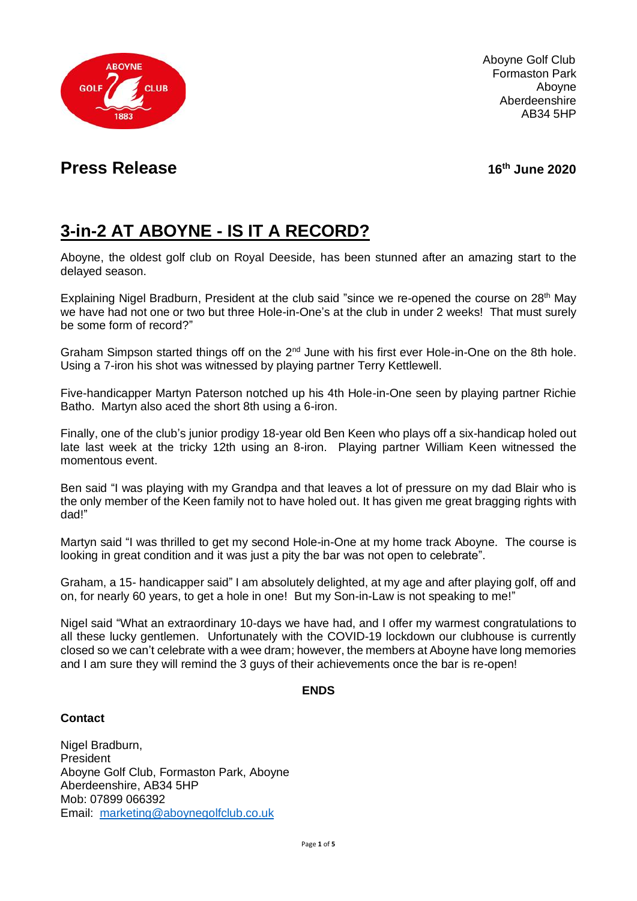

Aboyne Golf Club Formaston Park Aboyne Aberdeenshire AB34 5HP

## **Press Release**

**th June 2020**

# **3-in-2 AT ABOYNE - IS IT A RECORD?**

Aboyne, the oldest golf club on Royal Deeside, has been stunned after an amazing start to the delayed season.

Explaining Nigel Bradburn, President at the club said "since we re-opened the course on 28<sup>th</sup> May we have had not one or two but three Hole-in-One's at the club in under 2 weeks! That must surely be some form of record?"

Graham Simpson started things off on the 2<sup>nd</sup> June with his first ever Hole-in-One on the 8th hole. Using a 7-iron his shot was witnessed by playing partner Terry Kettlewell.

Five-handicapper Martyn Paterson notched up his 4th Hole-in-One seen by playing partner Richie Batho. Martyn also aced the short 8th using a 6-iron.

Finally, one of the club's junior prodigy 18-year old Ben Keen who plays off a six-handicap holed out late last week at the tricky 12th using an 8-iron. Playing partner William Keen witnessed the momentous event.

Ben said "I was playing with my Grandpa and that leaves a lot of pressure on my dad Blair who is the only member of the Keen family not to have holed out. It has given me great bragging rights with dad!"

Martyn said "I was thrilled to get my second Hole-in-One at my home track Aboyne. The course is looking in great condition and it was just a pity the bar was not open to celebrate".

Graham, a 15- handicapper said" I am absolutely delighted, at my age and after playing golf, off and on, for nearly 60 years, to get a hole in one! But my Son-in-Law is not speaking to me!"

Nigel said "What an extraordinary 10-days we have had, and I offer my warmest congratulations to all these lucky gentlemen. Unfortunately with the COVID-19 lockdown our clubhouse is currently closed so we can't celebrate with a wee dram; however, the members at Aboyne have long memories and I am sure they will remind the 3 guys of their achievements once the bar is re-open!

#### **ENDS**

### **Contact**

Nigel Bradburn, President Aboyne Golf Club, Formaston Park, Aboyne Aberdeenshire, AB34 5HP Mob: 07899 066392 Email: [marketing@aboynegolfclub.co.uk](mailto:marketing@aboynegolfclub.co.uk)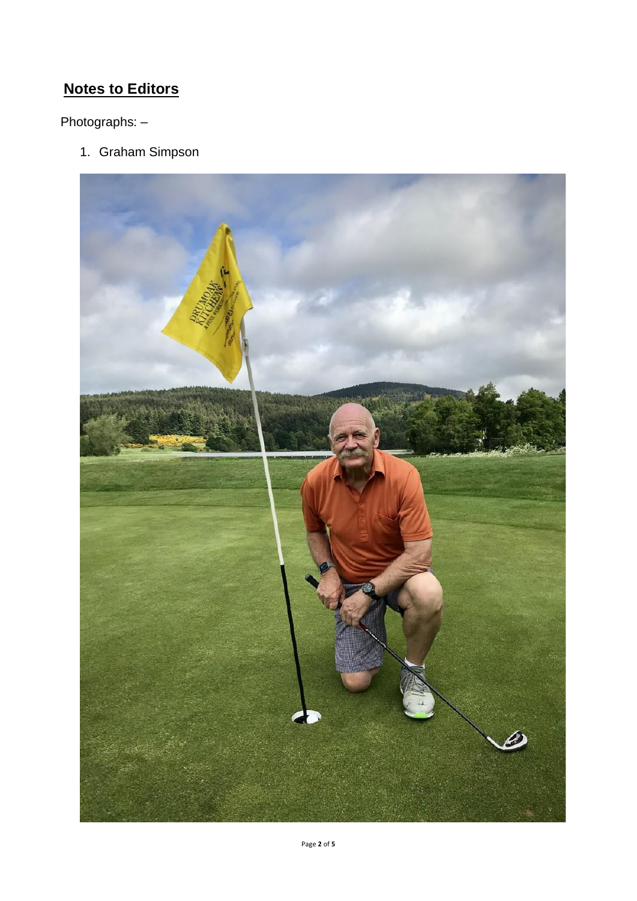## **Notes to Editors**

Photographs: –

1. Graham Simpson

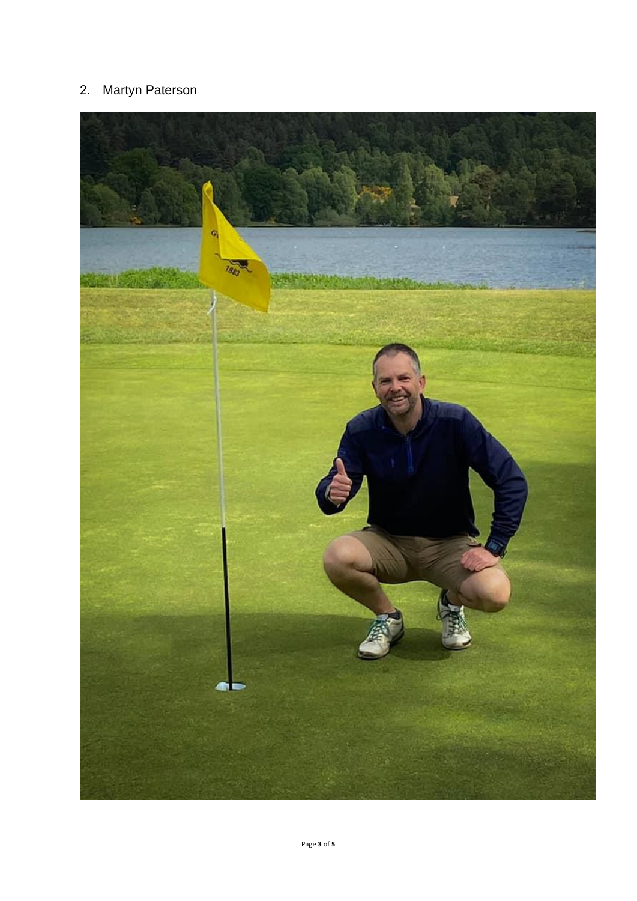## 2. Martyn Paterson

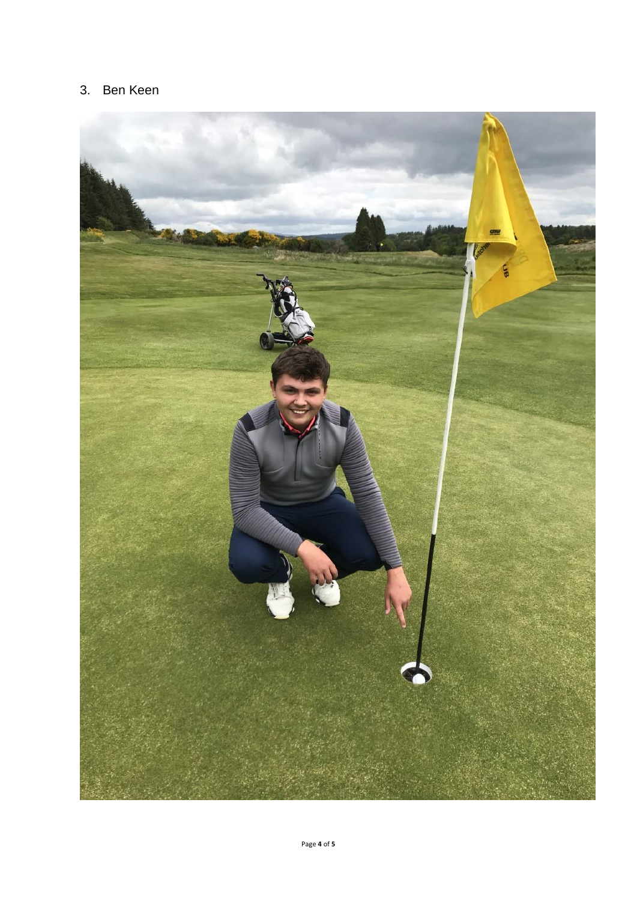### 3. Ben Keen